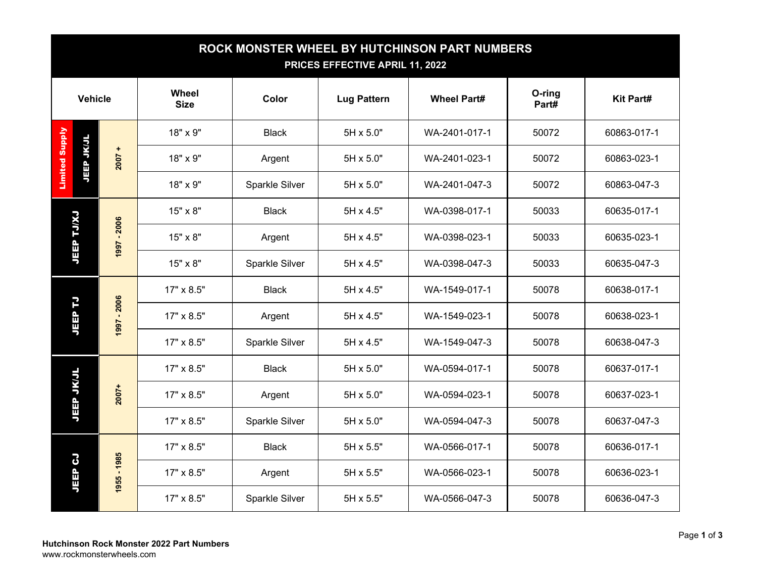| ROCK MONSTER WHEEL BY HUTCHINSON PART NUMBERS<br>PRICES EFFECTIVE APRIL 11, 2022 |             |                             |                |                    |                    |                 |                                                                         |
|----------------------------------------------------------------------------------|-------------|-----------------------------|----------------|--------------------|--------------------|-----------------|-------------------------------------------------------------------------|
| <b>Vehicle</b>                                                                   |             | <b>Wheel</b><br><b>Size</b> | Color          | <b>Lug Pattern</b> | <b>Wheel Part#</b> | O-ring<br>Part# | <b>Kit Part#</b>                                                        |
|                                                                                  |             | 18" x 9"                    | <b>Black</b>   | 5H x 5.0"          | WA-2401-017-1      | 50072           | 60863-017-1                                                             |
| <b>Limited Supply</b><br><b>JEEP JKJL</b>                                        | $2007 +$    | 18" x 9"                    | Argent         | 5H x 5.0"          | WA-2401-023-1      | 50072           | 60863-023-1                                                             |
|                                                                                  |             | 18" x 9"                    | Sparkle Silver | 5H x 5.0"          | WA-2401-047-3      | 50072           | 60863-047-3                                                             |
| <b>LY/LT</b><br><b>JEEP</b>                                                      |             | 15" x 8"                    | <b>Black</b>   | 5H x 4.5"          | WA-0398-017-1      | 50033           | 60635-017-1                                                             |
|                                                                                  | 1997 - 2006 | 15" x 8"                    | Argent         | 5H x 4.5"          | WA-0398-023-1      | 50033           | 60635-023-1                                                             |
|                                                                                  |             | 15" x 8"                    | Sparkle Silver | 5H x 4.5"          | WA-0398-047-3      | 50033           | 60635-047-3                                                             |
|                                                                                  |             | 17" x 8.5"                  | <b>Black</b>   | 5H x 4.5"          | WA-1549-017-1      | 50078           | 60638-017-1                                                             |
| <b>JEEP TJ</b>                                                                   | 1997 - 2006 | 17" x 8.5"                  | Argent         | 5H x 4.5"          | WA-1549-023-1      | 50078           | 60638-023-1                                                             |
|                                                                                  |             | 17" x 8.5"                  | Sparkle Silver | 5H x 4.5"          | WA-1549-047-3      | 50078           | 60638-047-3                                                             |
| <b>JEEP JKJL</b>                                                                 |             | 17" x 8.5"                  | <b>Black</b>   | 5H x 5.0"          | WA-0594-017-1      | 50078           | 60637-017-1                                                             |
|                                                                                  | $2007+$     | 17" x 8.5"                  | Argent         | 5H x 5.0"          | WA-0594-023-1      | 50078           | 60637-023-1<br>60637-047-3<br>60636-017-1<br>60636-023-1<br>60636-047-3 |
|                                                                                  |             | 17" x 8.5"                  | Sparkle Silver | 5H x 5.0"          | WA-0594-047-3      | 50078           |                                                                         |
|                                                                                  |             | 17" x 8.5"                  | <b>Black</b>   | 5H x 5.5"          | WA-0566-017-1      | 50078           |                                                                         |
| 3<br>JEEP                                                                        | 1955 - 1985 | 17" x 8.5"                  | Argent         | 5H x 5.5"          | WA-0566-023-1      | 50078           |                                                                         |
|                                                                                  |             | 17" x 8.5"                  | Sparkle Silver | 5H x 5.5"          | WA-0566-047-3      | 50078           |                                                                         |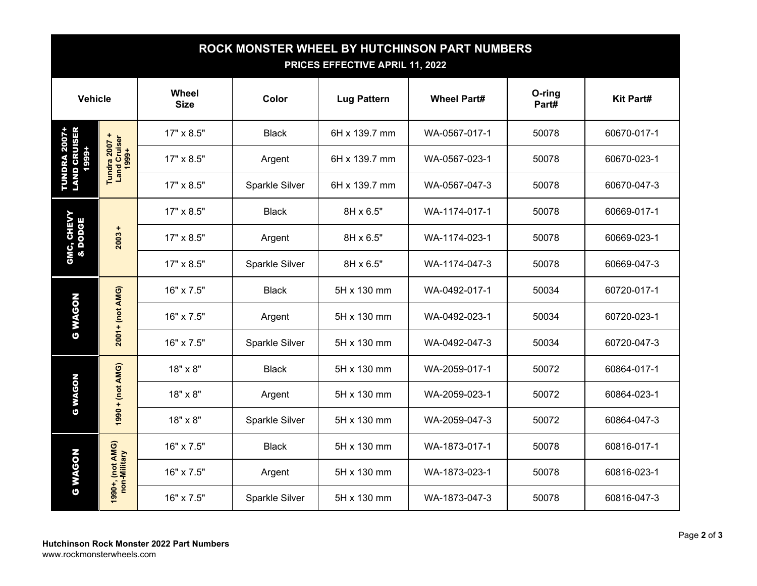| ROCK MONSTER WHEEL BY HUTCHINSON PART NUMBERS<br>PRICES EFFECTIVE APRIL 11, 2022 |                                        |                      |                |                    |                    |                 |                                                                         |
|----------------------------------------------------------------------------------|----------------------------------------|----------------------|----------------|--------------------|--------------------|-----------------|-------------------------------------------------------------------------|
| <b>Vehicle</b>                                                                   |                                        | Wheel<br><b>Size</b> | Color          | <b>Lug Pattern</b> | <b>Wheel Part#</b> | O-ring<br>Part# | <b>Kit Part#</b>                                                        |
|                                                                                  | Tundra 2007 +<br>Land Cruiser<br>1999+ | 17" x 8.5"           | <b>Black</b>   | 6H x 139.7 mm      | WA-0567-017-1      | 50078           | 60670-017-1                                                             |
| <b>TUNDRA 2007+<br/>LAND CRUISER</b><br>1999+                                    |                                        | 17" x 8.5"           | Argent         | 6H x 139.7 mm      | WA-0567-023-1      | 50078           | 60670-023-1                                                             |
|                                                                                  |                                        | 17" x 8.5"           | Sparkle Silver | 6H x 139.7 mm      | WA-0567-047-3      | 50078           | 60670-047-3                                                             |
| GMC, CHEVY<br>& DODGE                                                            |                                        | 17" x 8.5"           | <b>Black</b>   | 8H x 6.5"          | WA-1174-017-1      | 50078           | 60669-017-1                                                             |
|                                                                                  | +<br>2003                              | 17" x 8.5"           | Argent         | 8H x 6.5"          | WA-1174-023-1      | 50078           | 60669-023-1                                                             |
|                                                                                  |                                        | 17" x 8.5"           | Sparkle Silver | 8H x 6.5"          | WA-1174-047-3      | 50078           | 60669-047-3                                                             |
|                                                                                  | 2001+ (not AMG)                        | 16" x 7.5"           | <b>Black</b>   | 5H x 130 mm        | WA-0492-017-1      | 50034           | 60720-017-1                                                             |
| <b>WAGON</b><br>$\ddot{\mathbf{c}}$                                              |                                        | 16" x 7.5"           | Argent         | 5H x 130 mm        | WA-0492-023-1      | 50034           | 60720-023-1                                                             |
|                                                                                  |                                        | 16" x 7.5"           | Sparkle Silver | 5H x 130 mm        | WA-0492-047-3      | 50034           | 60720-047-3                                                             |
| <b>WAGON</b><br>$\ddot{\circ}$                                                   |                                        | 18" x 8"             | <b>Black</b>   | 5H x 130 mm        | WA-2059-017-1      | 50072           | 60864-017-1                                                             |
|                                                                                  | 1990 + (not AMG)                       | 18" x 8"             | Argent         | 5H x 130 mm        | WA-2059-023-1      | 50072           | 60864-023-1<br>60864-047-3<br>60816-017-1<br>60816-023-1<br>60816-047-3 |
|                                                                                  |                                        | 18" x 8"             | Sparkle Silver | 5H x 130 mm        | WA-2059-047-3      | 50072           |                                                                         |
|                                                                                  |                                        | 16" x 7.5"           | <b>Black</b>   | 5H x 130 mm        | WA-1873-017-1      | 50078           |                                                                         |
| <b>WAGON</b><br>$\mathbf C$                                                      | 1990+, (not AMG)<br>non-Military       | 16" x 7.5"           | Argent         | 5H x 130 mm        | WA-1873-023-1      | 50078           |                                                                         |
|                                                                                  |                                        | 16" x 7.5"           | Sparkle Silver | 5H x 130 mm        | WA-1873-047-3      | 50078           |                                                                         |